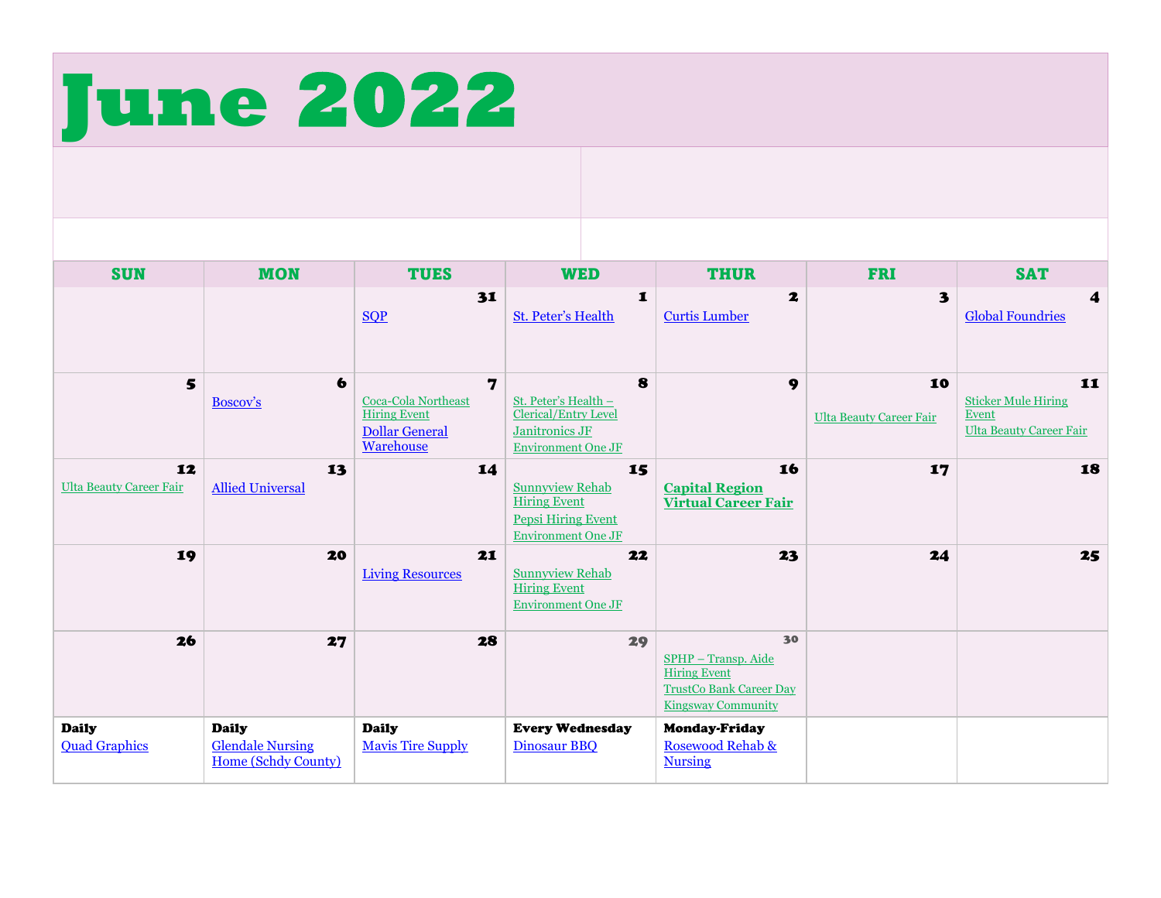

| <b>SUN</b>                           | <b>MON</b>                                                     | <b>TUES</b>                                                                           | <b>WED</b>                                                                                                    | <b>THUR</b>                                                                                                     | <b>FRI</b>                           | <b>SAT</b>                                                                  |
|--------------------------------------|----------------------------------------------------------------|---------------------------------------------------------------------------------------|---------------------------------------------------------------------------------------------------------------|-----------------------------------------------------------------------------------------------------------------|--------------------------------------|-----------------------------------------------------------------------------|
|                                      |                                                                | 31<br>SOP                                                                             | 1<br><b>St. Peter's Health</b>                                                                                | $\mathbf{z}$<br><b>Curtis Lumber</b>                                                                            | 3                                    | 4<br><b>Global Foundries</b>                                                |
| 5                                    | $\bullet$<br>Boscov's                                          | 7<br>Coca-Cola Northeast<br><b>Hiring Event</b><br><b>Dollar General</b><br>Warehouse | 8<br>St. Peter's Health -<br>Clerical/Entry Level<br>Janitronics JF<br><b>Environment One JF</b>              | 9                                                                                                               | 10<br><b>Ulta Beauty Career Fair</b> | 11<br><b>Sticker Mule Hiring</b><br>Event<br><b>Ulta Beauty Career Fair</b> |
| 12<br><b>Ulta Beauty Career Fair</b> | 13<br><b>Allied Universal</b>                                  | 14                                                                                    | 15<br><b>Sunnyview Rehab</b><br><b>Hiring Event</b><br><b>Pepsi Hiring Event</b><br><b>Environment One JF</b> | 16<br><b>Capital Region</b><br><b>Virtual Career Fair</b>                                                       | 17                                   | 18                                                                          |
| 19                                   | 20                                                             | 21<br><b>Living Resources</b>                                                         | 22<br><b>Sunnyview Rehab</b><br><b>Hiring Event</b><br><b>Environment One JF</b>                              | 23                                                                                                              | 24                                   | 25                                                                          |
| 26                                   | 27                                                             | 28                                                                                    | 29                                                                                                            | 30<br>SPHP - Transp. Aide<br><b>Hiring Event</b><br><b>TrustCo Bank Career Day</b><br><b>Kingsway Community</b> |                                      |                                                                             |
| <b>Daily</b><br><b>Quad Graphics</b> | <b>Daily</b><br><b>Glendale Nursing</b><br>Home (Schdy County) | <b>Daily</b><br><b>Mavis Tire Supply</b>                                              | <b>Every Wednesday</b><br>Dinosaur BBQ                                                                        | <b>Monday-Friday</b><br>Rosewood Rehab &<br><b>Nursing</b>                                                      |                                      |                                                                             |